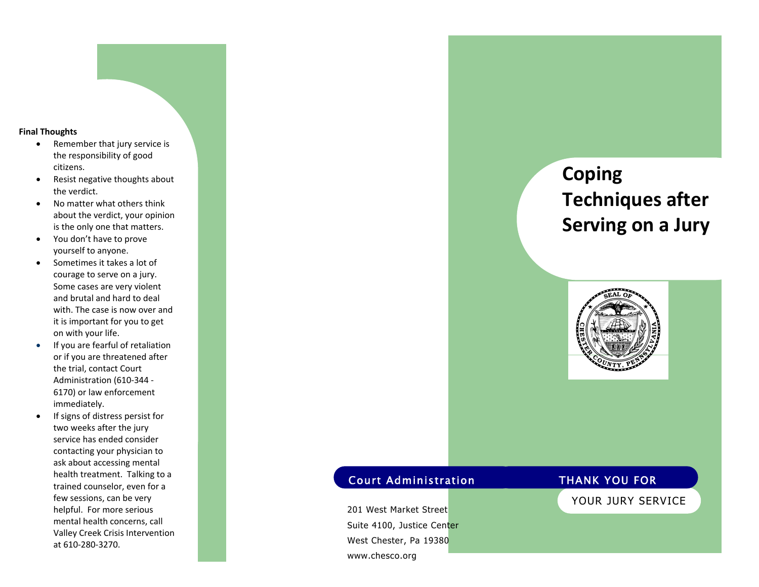#### **Final Thoughts**

- $\bullet$  Remember that jury service is the responsibility of good citizens.
- $\bullet$  Resist negative thoughts about the verdict.
- $\bullet$  No matter what others think about the verdict, your opinion is the only one that matters.
- $\bullet$  You don't have to prove yourself to anyone.
- $\bullet$  Sometimes it takes a lot of courage to serve on a jury. Some cases are very violent and brutal and hard to deal with. The case is now over and it is important for you to get on with your life.
- $\bullet$  If you are fearful of retaliation or if you are threatened after the trial, contact Court Administration (610‐344 ‐ 6170) or law enforcement immediately.
- $\bullet$  If signs of distress persist for two weeks after the jury service has ended consider contacting your physician to ask about accessing mental health treatment. Talking to a trained counselor, even for a few sessions, can be very helpful. For more serious mental health concerns, call Valley Creek Crisis Intervention at 610‐280‐3270.

# **Coping Techniques after Serving on a Jury**



## **Court Administration**

201 West Market Street Suite 4100, Justice Center West Chester, Pa 19380 www.chesco.org

#### **THANK YOU FOR**

YOUR JURY SERVICE